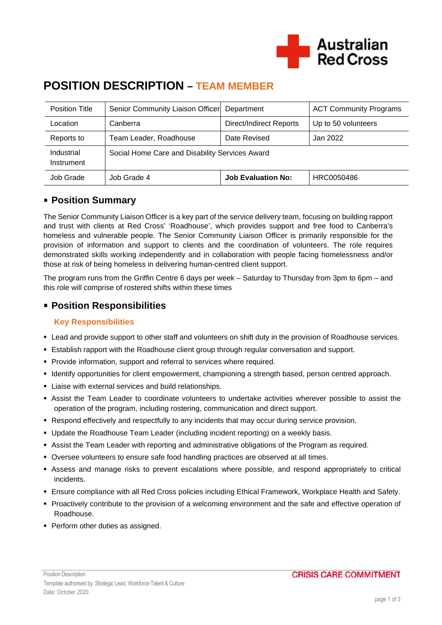

# **POSITION DESCRIPTION – TEAM MEMBER**

| Position Title           | Senior Community Liaison Officer               | Department                     | <b>ACT Community Programs</b> |
|--------------------------|------------------------------------------------|--------------------------------|-------------------------------|
| Location                 | Canberra                                       | <b>Direct/Indirect Reports</b> | Up to 50 volunteers           |
| Reports to               | Team Leader, Roadhouse                         | Date Revised                   | Jan 2022                      |
| Industrial<br>Instrument | Social Home Care and Disability Services Award |                                |                               |
| Job Grade                | Job Grade 4                                    | <b>Job Evaluation No:</b>      | HRC0050486                    |

### **Position Summary**

The Senior Community Liaison Officer is a key part of the service delivery team, focusing on building rapport and trust with clients at Red Cross' 'Roadhouse', which provides support and free food to Canberra's homeless and vulnerable people. The Senior Community Liaison Officer is primarily responsible for the provision of information and support to clients and the coordination of volunteers. The role requires demonstrated skills working independently and in collaboration with people facing homelessness and/or those at risk of being homeless in delivering human-centred client support.

The program runs from the Griffin Centre 6 days per week – Saturday to Thursday from 3pm to 6pm – and this role will comprise of rostered shifts within these times

# **Position Responsibilities**

### **Key Responsibilities**

- Lead and provide support to other staff and volunteers on shift duty in the provision of Roadhouse services.
- Establish rapport with the Roadhouse client group through regular conversation and support.
- **Provide information, support and referral to services where required.**
- Identify opportunities for client empowerment, championing a strength based, person centred approach.
- Liaise with external services and build relationships.
- Assist the Team Leader to coordinate volunteers to undertake activities wherever possible to assist the operation of the program, including rostering, communication and direct support.
- Respond effectively and respectfully to any incidents that may occur during service provision.
- Update the Roadhouse Team Leader (including incident reporting) on a weekly basis.
- Assist the Team Leader with reporting and administrative obligations of the Program as required.
- Oversee volunteers to ensure safe food handling practices are observed at all times.
- Assess and manage risks to prevent escalations where possible, and respond appropriately to critical incidents.
- Ensure compliance with all Red Cross policies including Ethical Framework, Workplace Health and Safety.
- Proactively contribute to the provision of a welcoming environment and the safe and effective operation of Roadhouse.
- Perform other duties as assigned.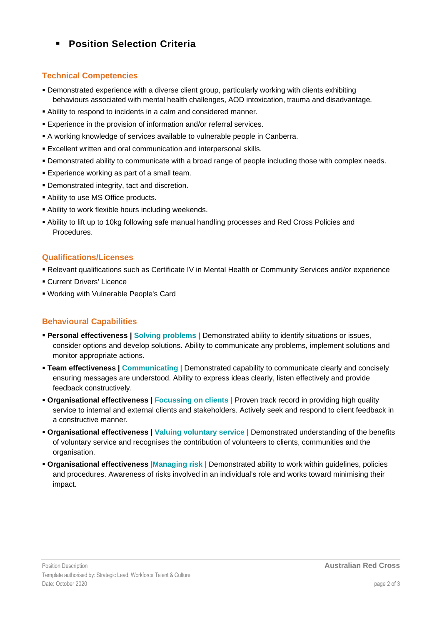# **Position Selection Criteria**

### **Technical Competencies**

- Demonstrated experience with a diverse client group, particularly working with clients exhibiting behaviours associated with mental health challenges, AOD intoxication, trauma and disadvantage.
- Ability to respond to incidents in a calm and considered manner.
- Experience in the provision of information and/or referral services.
- A working knowledge of services available to vulnerable people in Canberra.
- Excellent written and oral communication and interpersonal skills.
- Demonstrated ability to communicate with a broad range of people including those with complex needs.
- **Experience working as part of a small team.**
- Demonstrated integrity, tact and discretion.
- Ability to use MS Office products.
- Ability to work flexible hours including weekends.
- Ability to lift up to 10kg following safe manual handling processes and Red Cross Policies and Procedures.

#### **Qualifications/Licenses**

- Relevant qualifications such as Certificate IV in Mental Health or Community Services and/or experience
- **Current Drivers' Licence**
- Working with Vulnerable People's Card

### **Behavioural Capabilities**

- **Personal effectiveness | Solving problems |** Demonstrated ability to identify situations or issues, consider options and develop solutions. Ability to communicate any problems, implement solutions and monitor appropriate actions.
- **Team effectiveness | Communicating |** Demonstrated capability to communicate clearly and concisely ensuring messages are understood. Ability to express ideas clearly, listen effectively and provide feedback constructively.
- **Organisational effectiveness | Focussing on clients |** Proven track record in providing high quality service to internal and external clients and stakeholders. Actively seek and respond to client feedback in a constructive manner.
- **Organisational effectiveness | Valuing voluntary service |** Demonstrated understanding of the benefits of voluntary service and recognises the contribution of volunteers to clients, communities and the organisation.
- **Organisational effectiveness |Managing risk |** Demonstrated ability to work within guidelines, policies and procedures. Awareness of risks involved in an individual's role and works toward minimising their impact.